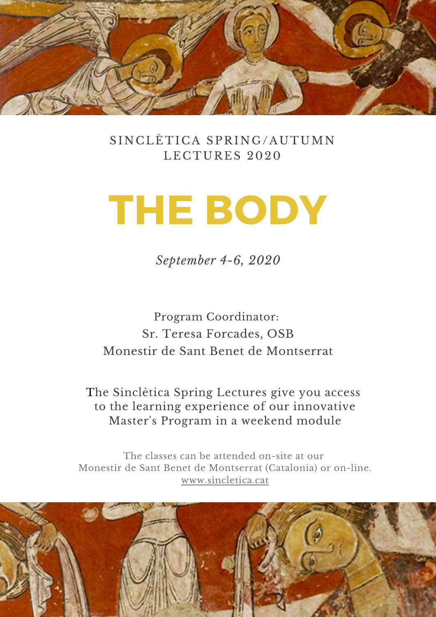

#### SINCLÈTICA SPRING/AUTUMN LECTURES 2020

# THE BODY

*September 4-6, 2020*

Program Coordinator: Sr. Teresa Forcades, OSB Monestir de Sant Benet de Montserrat

The Sinclètica Spring Lectures give you access to the learning experience of our innovative Master's Program in a weekend module

The classes can be attended on-site at our Monestir de Sant Benet de Montserrat (Catalonia) or on-line. [www.sincletica.cat](http://www.sincletica.cat/)

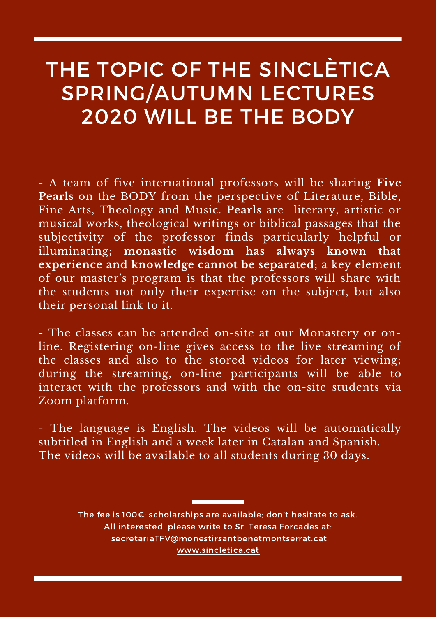## THE TOPIC OF THE SINCLÈTICA SPRING/AUTUMN LECTURES 2020 WILL BE THE BODY

- A team of five international professors will be sharing **Five Pearls** on the BODY from the perspective of Literature, Bible, Fine Arts, Theology and Music. **Pearls** are literary, artistic or musical works, theological writings or biblical passages that the subjectivity of the professor finds particularly helpful or illuminating; **monastic wisdom has always known that experience and knowledge cannot be separated**; a key element of our master's program is that the professors will share with the students not only their expertise on the subject, but also their personal link to it.

- The classes can be attended on-site at our Monastery or online. Registering on-line gives access to the live streaming of the classes and also to the stored videos for later viewing; during the streaming, on-line participants will be able to interact with the professors and with the on-site students via Zoom platform.

- The language is English. The videos will be automatically subtitled in English and a week later in Catalan and Spanish. The videos will be available to all students during 30 days.

> The fee is 100€; scholarships are available; don't hesitate to ask. All interested, please write to Sr. Teresa Forcades at: secretariaTFV@monestirsantbenetmontserrat.cat [www.sincletica.cat](http://www.sincletica.cat/)